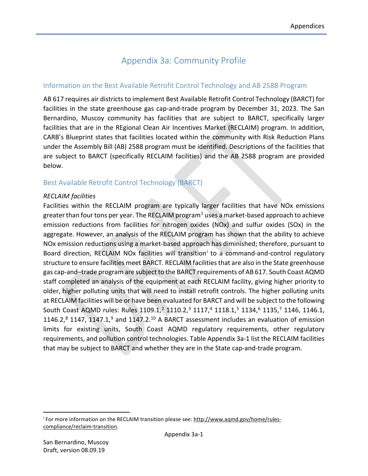# Appendix 3a: Community Profile

## Information on the Best Available Retrofit Control Technology and AB 2588 Program

AB 617 requires air districts to implement Best Available Retrofit Control Technology (BARCT) for facilities in the state greenhouse gas cap-and-trade program by December 31, 2023. The San Bernardino, Muscoy community has facilities that are subject to BARCT, specifically larger facilities that are in the REgional Clean Air Incentives Market (RECLAIM) program. In addition, CARB's Blueprint states that facilities located within the community with Risk Reduction Plans under the Assembly Bill (AB) 2588 program must be identified. Descriptions of the facilities that are subject to BARCT (specifically RECLAIM facilities) and the AB 2588 program are provided below.

## Best Available Retrofit Control Technology (BARCT)

#### *RECLAIM facilities*

Facilities within the RECLAIM program are typically larger facilities that have NOx emissions greater than four tons per year. The RECLAIM program<sup>[1](#page-2-0)</sup> uses a market-based approach to achieve emission reductions from facilities for nitrogen oxides (NOx) and sulfur oxides (SOx) in the aggregate. However, an analysis of the RECLAIM program has shown that the ability to achieve NOx emission reductions using a market-based approach has diminished; therefore, pursuant to Board d[i](#page-0-0)rection, RECLAIM NOx facilities will transition<sup>i</sup> to a command-and-control regulatory structure to ensure facilities meet BARCT. RECLAIM facilities that are also in the State greenhouse gas cap-and–trade program are subject to the BARCT requirements of AB 617. South Coast AQMD staff completed an analysis of the equipment at each RECLAIM facility, giving higher priority to older, higher polluting units that will need to install retrofit controls. The higher polluting units at RECLAIM facilities will be or have been evaluated for BARCT and will be subject to the following South Coast AQMD rules: Rules 1109.1,<sup>[2](#page-2-1)</sup> 1110.2,<sup>[3](#page-2-2)</sup> 1117,<sup>[4](#page-2-3)</sup> 1118.1,<sup>[5](#page-2-4)</sup> 1134,<sup>6</sup> 1135,<sup>[7](#page-2-6)</sup> 1146, 1146.1, 1146.2, $8$  1147, 1147.1, $9$  and 1147.2.<sup>[10](#page-2-9)</sup> A BARCT assessment includes an evaluation of emission limits for existing units, South Coast AQMD regulatory requirements, other regulatory requirements, and pollution control technologies. Table Appendix 3a-1 list the RECLAIM facilities that may be subject to BARCT and whether they are in the State cap-and-trade program.

<span id="page-0-0"></span><sup>&</sup>lt;sup>i</sup> For more information on the RECLAIM transition please see: [http://www.aqmd.gov/home/rules](http://www.aqmd.gov/home/rules-compliance/reclaim-transition)[compliance/reclaim-transition.](http://www.aqmd.gov/home/rules-compliance/reclaim-transition)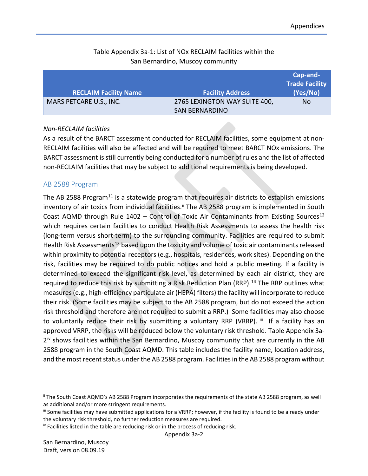## Table Appendix 3a-1: List of NOx RECLAIM facilities within the San Bernardino, Muscoy community

| <b>RECLAIM Facility Name</b> | <b>Facility Address</b>                                | Cap-and-<br><b>Trade Facility</b><br>(Yes/No) |
|------------------------------|--------------------------------------------------------|-----------------------------------------------|
| MARS PETCARE U.S., INC.      | 2765 LEXINGTON WAY SUITE 400,<br><b>SAN BERNARDINO</b> | No.                                           |

#### *Non-RECLAIM facilities*

As a result of the BARCT assessment conducted for RECLAIM facilities, some equipment at non-RECLAIM facilities will also be affected and will be required to meet BARCT NOx emissions. The BARCT assessment is still currently being conducted for a number of rules and the list of affected non-RECLAIM facilities that may be subject to additional requirements is being developed.

#### AB 2588 Program

The AB 2588 Program<sup>[11](#page-3-0)</sup> is a statewide program that requires air districts to establish emissions inventory of air toxics from individual facilities.<sup>[ii](#page-1-0)</sup> The AB 2588 program is implemented in South Coast AQMD through Rule  $1402$  – Control of Toxic Air Contaminants from Existing Sources<sup>[12](#page-3-1)</sup> which requires certain facilities to conduct Health Risk Assessments to assess the health risk (long-term versus short-term) to the surrounding community. Facilities are required to submit Health Risk Assessments<sup>[13](#page-3-2)</sup> based upon the toxicity and volume of toxic air contaminants released within proximity to potential receptors (e.g., hospitals, residences, work sites). Depending on the risk, facilities may be required to do public notices and hold a public meeting. If a facility is determined to exceed the significant risk level, as determined by each air district, they are required to reduce this risk by submitting a Risk Reduction Plan (RRP).<sup>[14](#page-3-3)</sup> The RRP outlines what measures (e.g., high-efficiency particulate air (HEPA) filters) the facility will incorporate to reduce their risk. (Some facilities may be subject to the AB 2588 program, but do not exceed the action risk threshold and therefore are not required to submit a RRP.) Some facilities may also choose to voluntarily reduce their risk by submitting a voluntary RRP (VRRP). [iii](#page-1-1) If a facility has an approved VRRP, the risks will be reduced below the voluntary risk threshold. Table Appendix 3a $2^{iv}$  $2^{iv}$  $2^{iv}$  shows facilities within the San Bernardino, Muscoy community that are currently in the AB 2588 program in the South Coast AQMD. This table includes the facility name, location address, and the most recent status under the AB 2588 program. Facilities in the AB 2588 program without

<span id="page-1-0"></span>ii The South Coast AQMD's AB 2588 Program incorporates the requirements of the state AB 2588 program, as well as additional and/or more stringent requirements.

<span id="page-1-1"></span>iii Some facilities may have submitted applications for a VRRP; however, if the facility is found to be already under the voluntary risk threshold, no further reduction measures are required.

<span id="page-1-2"></span>iv Facilities listed in the table are reducing risk or in the process of reducing risk.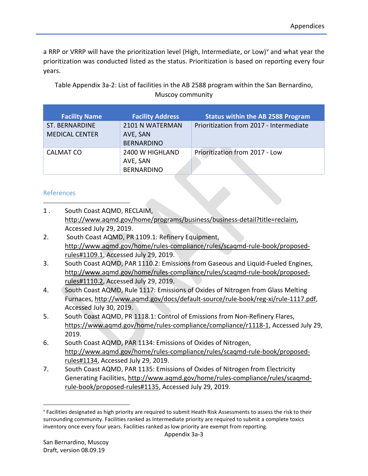<span id="page-2-7"></span>a RRP or VRRP will ha[v](#page-2-10)e the prioritization level (High, Intermediate, or Low)<sup>v</sup> and what year the prioritization was conducted listed as the status. Prioritization is based on reporting every four years.

Table Appendix 3a-2: List of facilities in the AB 2588 program within the San Bernardino, Muscoy community

<span id="page-2-8"></span>

| <b>Facility Name</b>  | <b>Facility Address</b> | <b>Status within the AB 2588 Program</b> |
|-----------------------|-------------------------|------------------------------------------|
| <b>ST. BERNARDINE</b> | 2101 N WATERMAN         | Prioritization from 2017 - Intermediate  |
| <b>MEDICAL CENTER</b> | AVE, SAN                |                                          |
|                       | <b>BERNARDINO</b>       |                                          |
| <b>CALMAT CO</b>      | 2400 W HIGHLAND         | Prioritization from 2017 - Low           |
|                       | AVE, SAN                |                                          |
|                       | <b>BERNARDINO</b>       |                                          |

#### <span id="page-2-9"></span>References

 $\overline{\phantom{a}}$ 

- <span id="page-2-0"></span>1 . South Coast AQMD, RECLAIM, [http://www.aqmd.gov/home/programs/business/business-detail?title=reclaim,](http://www.aqmd.gov/home/programs/business/business-detail?title=reclaim) Accessed July 29, 2019.
- <span id="page-2-1"></span>2. South Coast AQMD, PR 1109.1: Refinery Equipment, [http://www.aqmd.gov/home/rules-compliance/rules/scaqmd-rule-book/proposed](http://www.aqmd.gov/home/rules-compliance/rules/scaqmd-rule-book/proposed-rules%231109.1)[rules#1109.1,](http://www.aqmd.gov/home/rules-compliance/rules/scaqmd-rule-book/proposed-rules%231109.1) Accessed July 29, 2019.
- <span id="page-2-2"></span>3. South Coast AQMD, PAR 1110.2: Emissions from Gaseous and Liquid-Fueled Engines, [http://www.aqmd.gov/home/rules-compliance/rules/scaqmd-rule-book/proposed](http://www.aqmd.gov/home/rules-compliance/rules/scaqmd-rule-book/proposed-rules%231110.2)[rules#1110.2,](http://www.aqmd.gov/home/rules-compliance/rules/scaqmd-rule-book/proposed-rules%231110.2) Accessed July 29, 2019.
- <span id="page-2-3"></span>4. South Coast AQMD, Rule 1117: Emissions of Oxides of Nitrogen from Glass Melting Furnaces, [http://www.aqmd.gov/docs/default-source/rule-book/reg-xi/rule-1117.pdf,](http://www.aqmd.gov/docs/default-source/rule-book/reg-xi/rule-1117.pdf) Accessed July 30, 2019.
- <span id="page-2-4"></span>5. South Coast AQMD, PR 1118.1: Control of Emissions from Non-Refinery Flares, [https://www.aqmd.gov/home/rules-compliance/compliance/r1118-1,](https://www.aqmd.gov/home/rules-compliance/compliance/r1118-1) Accessed July 29, 2019.
- <span id="page-2-5"></span>6. South Coast AQMD, PAR 1134: Emissions of Oxides of Nitrogen, [http://www.aqmd.gov/home/rules-compliance/rules/scaqmd-rule-book/proposed](http://www.aqmd.gov/home/rules-compliance/rules/scaqmd-rule-book/proposed-rules%231134)[rules#1134,](http://www.aqmd.gov/home/rules-compliance/rules/scaqmd-rule-book/proposed-rules%231134) Accessed July 29, 2019.
- <span id="page-2-6"></span>7. South Coast AQMD, PAR 1135: Emissions of Oxides of Nitrogen from Electricity Generating Facilities, [http://www.aqmd.gov/home/rules-compliance/rules/scaqmd](http://www.aqmd.gov/home/rules-compliance/rules/scaqmd-rule-book/proposed-rules%231135)[rule-book/proposed-rules#1135,](http://www.aqmd.gov/home/rules-compliance/rules/scaqmd-rule-book/proposed-rules%231135) Accessed July 29, 2019.

<span id="page-2-10"></span>v Facilities designated as high priority are required to submit Heath Risk Assessments to assess the risk to their surrounding community. Facilities ranked as Intermediate priority are required to submit a complete toxics inventory once every four years. Facilities ranked as low priority are exempt from reporting.